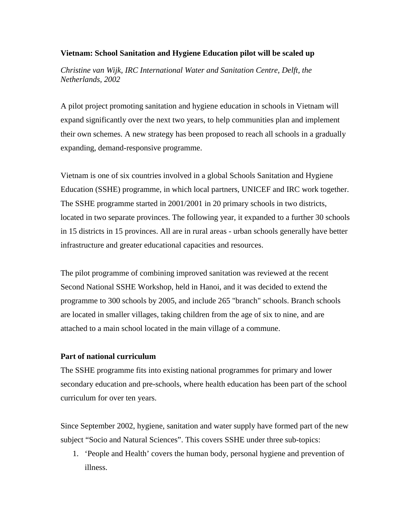## **Vietnam: School Sanitation and Hygiene Education pilot will be scaled up**

*Christine van Wijk, IRC International Water and Sanitation Centre, Delft, the Netherlands, 2002* 

A pilot project promoting sanitation and hygiene education in schools in Vietnam will expand significantly over the next two years, to help communities plan and implement their own schemes. A new strategy has been proposed to reach all schools in a gradually expanding, demand-responsive programme.

Vietnam is one of six countries involved in a global Schools Sanitation and Hygiene Education (SSHE) programme, in which local partners, UNICEF and IRC work together. The SSHE programme started in 2001/2001 in 20 primary schools in two districts, located in two separate provinces. The following year, it expanded to a further 30 schools in 15 districts in 15 provinces. All are in rural areas - urban schools generally have better infrastructure and greater educational capacities and resources.

The pilot programme of combining improved sanitation was reviewed at the recent Second National SSHE Workshop, held in Hanoi, and it was decided to extend the programme to 300 schools by 2005, and include 265 "branch" schools. Branch schools are located in smaller villages, taking children from the age of six to nine, and are attached to a main school located in the main village of a commune.

## **Part of national curriculum**

The SSHE programme fits into existing national programmes for primary and lower secondary education and pre-schools, where health education has been part of the school curriculum for over ten years.

Since September 2002, hygiene, sanitation and water supply have formed part of the new subject "Socio and Natural Sciences". This covers SSHE under three sub-topics:

1. 'People and Health' covers the human body, personal hygiene and prevention of illness.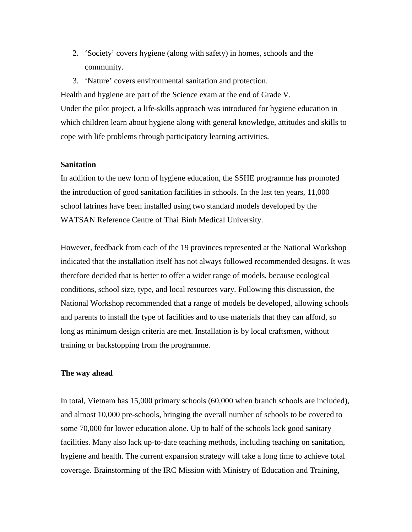- 2. 'Society' covers hygiene (along with safety) in homes, schools and the community.
- 3. 'Nature' covers environmental sanitation and protection.

Health and hygiene are part of the Science exam at the end of Grade V. Under the pilot project, a life-skills approach was introduced for hygiene education in which children learn about hygiene along with general knowledge, attitudes and skills to cope with life problems through participatory learning activities.

## **Sanitation**

In addition to the new form of hygiene education, the SSHE programme has promoted the introduction of good sanitation facilities in schools. In the last ten years, 11,000 school latrines have been installed using two standard models developed by the WATSAN Reference Centre of Thai Binh Medical University.

However, feedback from each of the 19 provinces represented at the National Workshop indicated that the installation itself has not always followed recommended designs. It was therefore decided that is better to offer a wider range of models, because ecological conditions, school size, type, and local resources vary. Following this discussion, the National Workshop recommended that a range of models be developed, allowing schools and parents to install the type of facilities and to use materials that they can afford, so long as minimum design criteria are met. Installation is by local craftsmen, without training or backstopping from the programme.

## **The way ahead**

In total, Vietnam has 15,000 primary schools (60,000 when branch schools are included), and almost 10,000 pre-schools, bringing the overall number of schools to be covered to some 70,000 for lower education alone. Up to half of the schools lack good sanitary facilities. Many also lack up-to-date teaching methods, including teaching on sanitation, hygiene and health. The current expansion strategy will take a long time to achieve total coverage. Brainstorming of the IRC Mission with Ministry of Education and Training,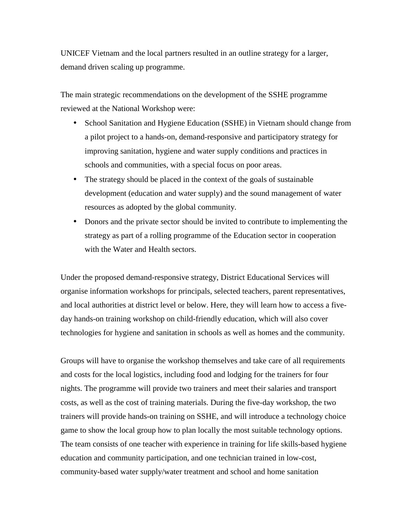UNICEF Vietnam and the local partners resulted in an outline strategy for a larger, demand driven scaling up programme.

The main strategic recommendations on the development of the SSHE programme reviewed at the National Workshop were:

- School Sanitation and Hygiene Education (SSHE) in Vietnam should change from a pilot project to a hands-on, demand-responsive and participatory strategy for improving sanitation, hygiene and water supply conditions and practices in schools and communities, with a special focus on poor areas.
- The strategy should be placed in the context of the goals of sustainable development (education and water supply) and the sound management of water resources as adopted by the global community.
- Donors and the private sector should be invited to contribute to implementing the strategy as part of a rolling programme of the Education sector in cooperation with the Water and Health sectors.

Under the proposed demand-responsive strategy, District Educational Services will organise information workshops for principals, selected teachers, parent representatives, and local authorities at district level or below. Here, they will learn how to access a fiveday hands-on training workshop on child-friendly education, which will also cover technologies for hygiene and sanitation in schools as well as homes and the community.

Groups will have to organise the workshop themselves and take care of all requirements and costs for the local logistics, including food and lodging for the trainers for four nights. The programme will provide two trainers and meet their salaries and transport costs, as well as the cost of training materials. During the five-day workshop, the two trainers will provide hands-on training on SSHE, and will introduce a technology choice game to show the local group how to plan locally the most suitable technology options. The team consists of one teacher with experience in training for life skills-based hygiene education and community participation, and one technician trained in low-cost, community-based water supply/water treatment and school and home sanitation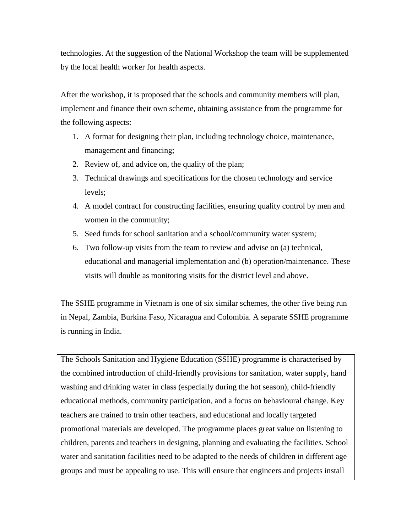technologies. At the suggestion of the National Workshop the team will be supplemented by the local health worker for health aspects.

After the workshop, it is proposed that the schools and community members will plan, implement and finance their own scheme, obtaining assistance from the programme for the following aspects:

- 1. A format for designing their plan, including technology choice, maintenance, management and financing;
- 2. Review of, and advice on, the quality of the plan;
- 3. Technical drawings and specifications for the chosen technology and service levels;
- 4. A model contract for constructing facilities, ensuring quality control by men and women in the community;
- 5. Seed funds for school sanitation and a school/community water system;
- 6. Two follow-up visits from the team to review and advise on (a) technical, educational and managerial implementation and (b) operation/maintenance. These visits will double as monitoring visits for the district level and above.

The SSHE programme in Vietnam is one of six similar schemes, the other five being run in Nepal, Zambia, Burkina Faso, Nicaragua and Colombia. A separate SSHE programme is running in India.

The Schools Sanitation and Hygiene Education (SSHE) programme is characterised by the combined introduction of child-friendly provisions for sanitation, water supply, hand washing and drinking water in class (especially during the hot season), child-friendly educational methods, community participation, and a focus on behavioural change. Key teachers are trained to train other teachers, and educational and locally targeted promotional materials are developed. The programme places great value on listening to children, parents and teachers in designing, planning and evaluating the facilities. School water and sanitation facilities need to be adapted to the needs of children in different age groups and must be appealing to use. This will ensure that engineers and projects install